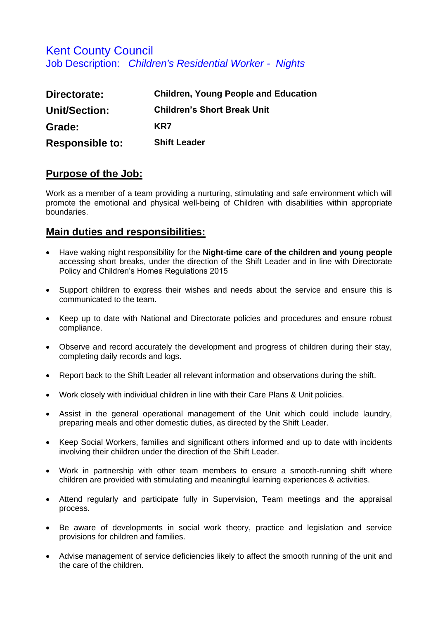Kent County Council Job Description: *Children's Residential Worker - Nights*

| Directorate:           | <b>Children, Young People and Education</b> |
|------------------------|---------------------------------------------|
| Unit/Section:          | <b>Children's Short Break Unit</b>          |
| Grade:                 | KR7                                         |
| <b>Responsible to:</b> | <b>Shift Leader</b>                         |

## **Purpose of the Job:**

Work as a member of a team providing a nurturing, stimulating and safe environment which will promote the emotional and physical well-being of Children with disabilities within appropriate boundaries.

## **Main duties and responsibilities:**

- Have waking night responsibility for the **Night-time care of the children and young people** accessing short breaks, under the direction of the Shift Leader and in line with Directorate Policy and Children's Homes Regulations 2015
- Support children to express their wishes and needs about the service and ensure this is communicated to the team.
- Keep up to date with National and Directorate policies and procedures and ensure robust compliance.
- Observe and record accurately the development and progress of children during their stay, completing daily records and logs.
- Report back to the Shift Leader all relevant information and observations during the shift.
- Work closely with individual children in line with their Care Plans & Unit policies.
- Assist in the general operational management of the Unit which could include laundry, preparing meals and other domestic duties, as directed by the Shift Leader.
- Keep Social Workers, families and significant others informed and up to date with incidents involving their children under the direction of the Shift Leader.
- Work in partnership with other team members to ensure a smooth-running shift where children are provided with stimulating and meaningful learning experiences & activities.
- Attend regularly and participate fully in Supervision, Team meetings and the appraisal process.
- Be aware of developments in social work theory, practice and legislation and service provisions for children and families.
- Advise management of service deficiencies likely to affect the smooth running of the unit and the care of the children.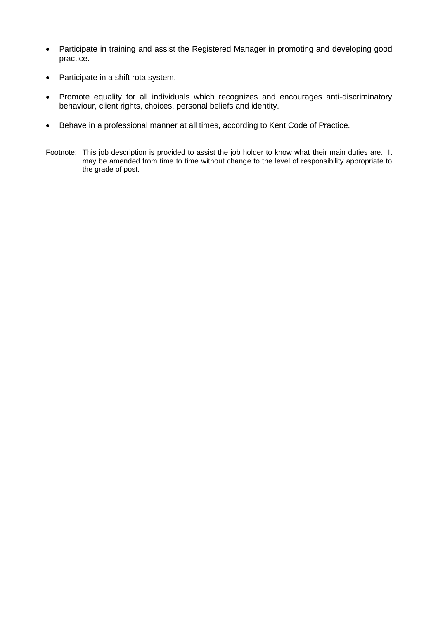- Participate in training and assist the Registered Manager in promoting and developing good practice.
- Participate in a shift rota system.
- Promote equality for all individuals which recognizes and encourages anti-discriminatory behaviour, client rights, choices, personal beliefs and identity.
- Behave in a professional manner at all times, according to Kent Code of Practice.
- Footnote: This job description is provided to assist the job holder to know what their main duties are. It may be amended from time to time without change to the level of responsibility appropriate to the grade of post.